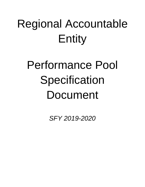# Regional Accountable Entity

# Performance Pool **Specification** Document

*SFY 2019-2020*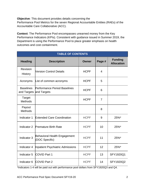**Objective**: This document provides details concerning the Performance Pool Metrics for the seven Regional Accountable Entities (RAEs) of the Accountable Care Collaborative (ACC).

**Context**: The Performance Pool encompasses unearned money from the Key Performance Indicators (KPIs). Consistent with guidance issued in Summer 2019, the Department is using the Performance Pool to place greater emphasis on health outcomes and cost containment.

| <b>TABLE OF CONTENTS</b>                    |                                                       |              |                |                                     |  |
|---------------------------------------------|-------------------------------------------------------|--------------|----------------|-------------------------------------|--|
| <b>Heading</b>                              | <b>Description</b>                                    | <b>Owner</b> | Page #         | <b>Funding</b><br><b>Allocation</b> |  |
| Revision<br><b>History</b>                  | <b>Version Control Details</b>                        | <b>HCPF</b>  | $\overline{4}$ |                                     |  |
| Acronyms                                    | List of common acronyms                               | <b>HCPF</b>  | 5              |                                     |  |
| <b>Baselines</b><br>and Targets and Targets | Performance Period Baselines                          | <b>HCPF</b>  | 6              |                                     |  |
| <b>Target</b><br><b>Methods</b>             |                                                       | <b>HCPF</b>  | $\overline{7}$ |                                     |  |
| Payout<br><b>Methods</b>                    |                                                       |              | 8              |                                     |  |
| Indicator 1                                 | <b>Extended Care Coordination</b>                     | <b>HCPF</b>  | 9              | 25%*                                |  |
| Indicator 2                                 | <b>Premature Birth Rate</b>                           | <b>HCPF</b>  | 10             | 25%*                                |  |
| Indicator 3                                 | <b>Behavioral Health Engagement</b><br>(DOC Specific) | <b>HCPF</b>  | 11             | 25%*                                |  |
| Indicator 4                                 | Inpatient Psychiatric Admissions                      | <b>HCPF</b>  | 12             | 25%*                                |  |
| Indicator 5                                 | <b>COVID Part 1</b>                                   | <b>HCPF</b>  | 13             | SFY1920Q1                           |  |
| Indicator 6                                 | <b>COVID Part 2</b>                                   | <b>HCPF</b>  | 14             | SFY1920Q2                           |  |

\*Indicators 1-4 will be paid out with performance pool dollars from SFY1920Q3 and Q4.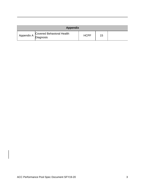| <b>Appendix</b> |                                                   |             |    |  |  |
|-----------------|---------------------------------------------------|-------------|----|--|--|
|                 | Appendix A Covered Behavioral Health<br>Diagnosis | <b>HCPF</b> | 15 |  |  |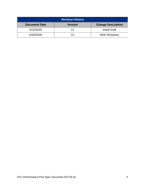| <b>Revision History</b> |                |                           |  |  |  |
|-------------------------|----------------|---------------------------|--|--|--|
| <b>Document Date</b>    | <b>Version</b> | <b>Change Description</b> |  |  |  |
| 5/15/2020               |                | <b>Initial Draft</b>      |  |  |  |
| 6/30/2020               | רי             | <b>RAE Revisions</b>      |  |  |  |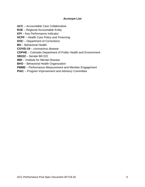#### **Acronym List**

**ACC** – Accountable Care Collaborative

**RAE** – Regional Accountable Entity

**KPI** – Key Performance Indicator

**HCPF** – Health Care Policy and Financing

**DOC** – Department of Corrections

**BH** – Behavioral Health

**COVID-19** – coronavirus disease

**CDPHE** – Colorado Department of Public Health and Environment

**SB222** – Senate Bill 222

**IMD** – Institute for Mental Disease

**BHO** – Behavioral Health Organization

**PMME** – Performance Measurement and Member Engagement

**PIAC** – Program Improvement and Advisory Committee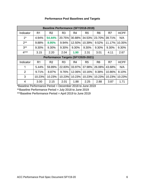| <b>Baseline Performance (SFY2018-2019)</b> |                |                                    |                |                |                |                |        |             |
|--------------------------------------------|----------------|------------------------------------|----------------|----------------|----------------|----------------|--------|-------------|
| Indicator                                  | R <sub>1</sub> | R <sub>2</sub>                     | R <sub>3</sub> | R <sub>4</sub> | R <sub>5</sub> | R <sub>6</sub> | R7     | <b>HCPF</b> |
| $1^*$                                      | 4.94%          | 54.44%                             | 20.75%         | 30.88%         | 34.53%         | 23.70%         | 39.71% | N/A         |
| $2**$                                      | 9.88%          | 8.95%                              | 9.94%          | 12.50%         | 10.39%         | 9.52%          | 11.17% | 10.35%      |
| $3**$                                      | 9.30%          | 9.30%                              | 9.30%          | 9.30%          | 9.30%          | 9.30%          | 9.30%  | 9.30%       |
| $4***$                                     | 3.15           | 2.20                               | 2.04           | 1.90           | 2.31           | 3.01           | 4.11   | 2.67        |
|                                            |                | Performance Targets (SFY2020-2021) |                |                |                |                |        |             |
| Indicator                                  | R <sub>1</sub> | R <sub>2</sub>                     | R <sub>3</sub> | R4             | R <sub>5</sub> | R <sub>6</sub> | R7     | <b>HCPF</b> |
| 1                                          | 5.44%          | 59.89%                             | 22.83%         | 33.97%         | 37.98%         | 26.08%         | 43.68% | N/A         |
| 2                                          |                |                                    |                |                | 10.16%         | 9.38%          | 10.86% | 8.10%       |
|                                            | 9.71%          | 8.87%                              | 9.76%          | 12.06%         |                |                |        |             |
| 3                                          | 10.23%         | 10.23%                             | 10.23%         | 10.23%         | 10.23%         | 10.23%         | 10.23% | 10.23%      |

## **Performance Pool Baselines and Targets**

\*Baseline Performance Period = December 2018 to June 2019

\*\*Baseline Performance Period = July 2018 to June 2019

\*\*\*Baseline Performance Period = April 2019 to June 2019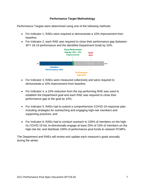#### **Performance Target Methodology**

Performance Targets were determined using one of the following methods:

- For Indicator 1, RAEs were required to demonstrate a 10% improvement from baseline;
- For Indicator 2, each RAE was required to close their performance gap (between SFY 18-19 performance and the identified Department Goal) by 10%;



- For Indicator 3, RAEs were measured collectively and were required to demonstrate a 10% improvement from baseline;
- For Indicator 4, a 10% reduction from the top performing RAE was used to establish the Department goal and each RAE was required to close their performance gap to the goal by 10%;
- For Indicator 5, RAEs had to submit a comprehensive COVID-19 response plan including strategies for outreaching and engaging high-risk members and supporting practices; and
- For Indicator 6, RAEs had to conduct outreach to 100% of members on the highris COVID-19 list, bi-directionally engage at least 25% of 10% of members on the high-risk list, and distribute 100% of performance pool funds to network PCMPs.

The Department and RAEs will review and update each measure's goals annually during the winter.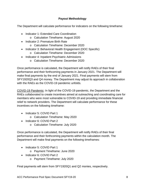## **Payout Methodology**

The Department will calculate performance for indicators on the following timeframe:

- Indicator 1: Extended Care Coordination
	- o Calculation Timeframe: August 2020
- Indicator 2: Premature Birth Rate
	- o Calculation Timeframe: December 2020
- Indicator 3: Behavioral Health Engagement (DOC Specific)
	- o Calculation Timeframe: December 2020
- Indicator 4: Inpatient Psychiatric Admissions
	- o Calculation Timeframe: December 2020

Once performance is calculated, the Department will notify RAEs of their final performance and their forthcoming payments in January 2021. The Department will make final payments by the end of January 2021. Final payments will stem from SFY1920Q3 and Q4 money. The Department may adjust its approach in collaboration with the RAEs as the COVID-19 pandemic unfolds.

COVID-19 Pandemic: In light of the COVID-19 pandemic, the Department and the RAEs collaborated to create incentives aimed at outreaching and coordinating care for members who were most vulnerable to COVID-19 and providing immediate financial relief to network providers. The Department will calculate performance for these incentives on the following timeframe:

- Indicator 5: COVID Part 1
	- o Calculation Timeframe: May 2020
- Indicator 6: COVID Part 2
	- o Calculation Timeframe: July 2020

Once performance is calculated, the Department will notify RAEs of their final performance and their forthcoming payments within the calculation month. The Department will make final payments on the following timeframes:

- Indicator 5: COVID Part 1
	- o Payment Timeframe: June 2020
- Indicator 6: COVID Part 2
	- o Payment Timeframe: July 2020

Final payments will stem from SFY1920Q1 and Q2 monies, respectively.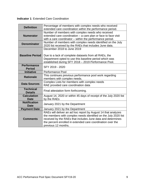**Indicator 1**: Extended Care Coordination

| <b>Definition</b>                   | Percentage of members with complex needs who received<br>extended care coordination within the performance period.                                                                                                                                                                    |
|-------------------------------------|---------------------------------------------------------------------------------------------------------------------------------------------------------------------------------------------------------------------------------------------------------------------------------------|
| <b>Numerator</b>                    | Number of members with complex needs who received<br>extended care coordination - a care plan or face to face visit<br>with a care coordinator - within the performance period.                                                                                                       |
| <b>Denominator</b>                  | Number of members with complex needs identified on the July<br>2020 list received by the RAEs that includes June data.                                                                                                                                                                |
| <b>Baseline Period</b>              | December 2018 to June 2019<br>Due to a lack of complete datasets from all RAEs, the<br>Department opted to use this baseline period which was<br>established during SFY 2018 - 2019 Performance Pool.                                                                                 |
| <b>Performance</b><br><b>Period</b> | SFY 2019 - 2020                                                                                                                                                                                                                                                                       |
| <b>Initiative</b>                   | Performance Pool                                                                                                                                                                                                                                                                      |
| <b>Rationale</b>                    | This continues previous performance pool work regarding<br>members with complex needs.                                                                                                                                                                                                |
| <b>Data Sources</b>                 | Complex Lists for members with complex needs<br>RAE provided care coordination data                                                                                                                                                                                                   |
| <b>Technical</b><br><b>Details</b>  | Final attestation form forthcoming.                                                                                                                                                                                                                                                   |
| <b>Calculation</b><br>Date          | August 14, 2020 or within 45 days of receipt of the July 2020 list<br>by the RAEs                                                                                                                                                                                                     |
| <b>Notification</b><br><b>Date</b>  | January 2021 by the Department                                                                                                                                                                                                                                                        |
| <b>Payment Date</b>                 | January 2021 by the Department                                                                                                                                                                                                                                                        |
| <b>Comments</b>                     | RAEs will deliver an ad hoc report by August 14 that analyzes<br>the members with complex needs identified on the July 2020 list<br>received by the RAEs that includes June data and determines<br>the percent enrolled in extended care coordination over the<br>previous 12 months. |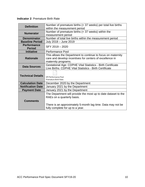**Indicator 2**: Premature Birth Rate

| <b>Definition</b>                   | Number of premature births (< 37 weeks) per total live births  |
|-------------------------------------|----------------------------------------------------------------|
|                                     | within the measurement period                                  |
| <b>Numerator</b>                    | Number of premature births $(37 weeks) within the$             |
|                                     | measurement period                                             |
| <b>Denominator</b>                  | Number of total live births within the measurement period      |
| <b>Baseline Period</b>              | July 2018 - June 2019                                          |
| <b>Performance</b><br><b>Period</b> | SFY 2019 - 2020                                                |
| <b>Initiative</b>                   | <b>Performance Pool</b>                                        |
|                                     | This allows the Department to continue to focus on maternity   |
| <b>Rationale</b>                    | care and develop incentives for centers of excellence in       |
|                                     | maternity programs.                                            |
|                                     | Gestational Age: CDPHE Vital Statistics - Birth Certificate    |
| <b>Data Sources</b>                 | Live Births: CDPHE Vital Statistics - Birth Certificate        |
|                                     |                                                                |
| <b>Technical Details</b>            |                                                                |
|                                     | <b>KPI Performance Pool</b>                                    |
|                                     | Premature Birth Rate.                                          |
| <b>Calculation Date</b>             | December 2020 by the Department                                |
| <b>Notification Date</b>            | January 2021 by the Department                                 |
| <b>Payment Date</b>                 | January 2021 by the Department                                 |
|                                     | The Department will provide the most up to date dataset to the |
|                                     | RAEs on a quarterly basis.                                     |
| <b>Comments</b>                     |                                                                |
|                                     |                                                                |
|                                     | There is an approximately 5-month lag time. Data may not be    |
|                                     | fully complete for up to a year.                               |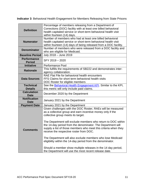**Indicator 3**: Behavioral Health Engagement for Members Releasing from State Prisons

| <b>Definition</b>                   | Percentage of members releasing from a Department of<br>Corrections (DOC) facility with at least one billed behavioral<br>health capitated service or short-term behavioral health visit<br>within fourteen (14) days.                                                                                                                                                                                                                                                                                                                                                                                                                                            |
|-------------------------------------|-------------------------------------------------------------------------------------------------------------------------------------------------------------------------------------------------------------------------------------------------------------------------------------------------------------------------------------------------------------------------------------------------------------------------------------------------------------------------------------------------------------------------------------------------------------------------------------------------------------------------------------------------------------------|
| <b>Numerator</b>                    | Number of members who had at least one billed behavioral<br>health capitated service or short-term behavioral health visit                                                                                                                                                                                                                                                                                                                                                                                                                                                                                                                                        |
| <b>Denominator</b>                  | within fourteen (14) days of being released from a DOC facility.<br>Number of members who were released from a DOC facility and<br>who are eligible for Medicaid.                                                                                                                                                                                                                                                                                                                                                                                                                                                                                                 |
| <b>Baseline Period</b>              | July 2018 - June 2019                                                                                                                                                                                                                                                                                                                                                                                                                                                                                                                                                                                                                                             |
| <b>Performance</b><br><b>Period</b> | SFY 2019 - 2020                                                                                                                                                                                                                                                                                                                                                                                                                                                                                                                                                                                                                                                   |
| <b>Initiative</b>                   | <b>Performance Pool</b>                                                                                                                                                                                                                                                                                                                                                                                                                                                                                                                                                                                                                                           |
| <b>Rationale</b>                    | This fulfills the requirements of SB222 and demonstrates inter-<br>agency collaboration.                                                                                                                                                                                                                                                                                                                                                                                                                                                                                                                                                                          |
| <b>Data Sources</b>                 | RAE Flat File for behavioral health encounters<br>FFS Claims for short term behavioral health visits<br>DOC Roster for eligible members                                                                                                                                                                                                                                                                                                                                                                                                                                                                                                                           |
| <b>Technical</b><br><b>Details</b>  | See the Behavioral Health Engagement KPI. Similar to the KPI,<br>this metric will only include paid claims.                                                                                                                                                                                                                                                                                                                                                                                                                                                                                                                                                       |
| <b>Calculation</b><br><b>Date</b>   | December 2020 by the Department                                                                                                                                                                                                                                                                                                                                                                                                                                                                                                                                                                                                                                   |
| <b>Notification</b><br><b>Date</b>  | January 2021 by the Department                                                                                                                                                                                                                                                                                                                                                                                                                                                                                                                                                                                                                                    |
| <b>Payment Date</b>                 | January 2021 by the Department                                                                                                                                                                                                                                                                                                                                                                                                                                                                                                                                                                                                                                    |
| <b>Comments</b>                     | Given challenges with the DOC Roster, RAEs will be measured<br>as a collective group and earn incentive money only if the<br>collective group meets its target.<br>The Department will exclude members who return to DOC within<br>the 14-day period from the denominator. The Department will<br>supply a list of those members who meet this criteria when they<br>receive the respective roster from DOC.<br>The Department will also exclude members who lose Medicaid<br>eligibility within the 14-day period from the denominator.<br>Should a member show multiple releases in the 14 day period,<br>the Department will use the most recent release date. |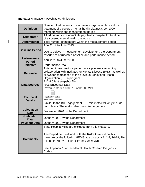**Indicator 4**: Inpatient Psychiatric Admissions

 $\overline{\phantom{a}}$ 

| <b>Definition</b>                   | Number of admissions to a non-state psychiatric hospital for<br>treatment of a covered mental health diagnosis per 1000<br>members within the measurement period                                                                  |
|-------------------------------------|-----------------------------------------------------------------------------------------------------------------------------------------------------------------------------------------------------------------------------------|
| <b>Numerator</b>                    | All admissions to a non-State psychiatric hospital for treatment<br>of a covered mental health diagnosis                                                                                                                          |
| <b>Denominator</b>                  | Total number of members within the measurement period                                                                                                                                                                             |
|                                     | April 2019 to June 2019                                                                                                                                                                                                           |
| <b>Baseline Period</b>              | Due to delays in measurement development, the Department<br>resorted to a truncated baseline and performance period.                                                                                                              |
| <b>Performance</b><br><b>Period</b> | April 2020 to June 2020                                                                                                                                                                                                           |
| <b>Initiative</b>                   | <b>Performance Pool</b>                                                                                                                                                                                                           |
| <b>Rationale</b>                    | This continues previous performance pool work regarding<br>collaboration with Institutes for Mental Disease (IMDs) as well as<br>allows for comparison to the previous Behavioral Health<br>Organization (BHO) program.           |
|                                     | <b>BIDM Client snapshot file</b>                                                                                                                                                                                                  |
| <b>Data Sources</b>                 | <b>RAE Encounter Data</b>                                                                                                                                                                                                         |
|                                     | Revenue Codes 100-219 or 0100-0219                                                                                                                                                                                                |
| <b>Technical</b><br><b>Details</b>  | Inpatient utilization<br>measure text version.t<br>Similar to the BH Engagement KPI, this metric will only include<br>paid claims. The metric also uses discharge date.                                                           |
| <b>Calculation</b><br><b>Date</b>   | December 2020 by the Department                                                                                                                                                                                                   |
| <b>Notification</b><br><b>Date</b>  | January 2021 by the Department                                                                                                                                                                                                    |
| <b>Payment Date</b>                 | January 2021 by the Department                                                                                                                                                                                                    |
|                                     | State Hospital visits are excluded from this measure.                                                                                                                                                                             |
| <b>Comments</b>                     | The Department will work with the RAEs to report on this<br>measure by the following HEDIS age groups: <1, 1-9, 10-19, 20-<br>44, 45-64, 65-74, 75-84, 85+, and Unknown<br>See Appendix 1 for the Mental Health Covered Diagnosis |
|                                     | Codes.                                                                                                                                                                                                                            |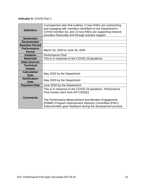## **Indicator 5**: COVID Part 1

| <b>Definition</b>                   | A prospective plan that outlines 1) how RAEs are outreaching<br>and engaging with members identified on the Department's<br>COVID member list, and 2) how RAEs are supporting network<br>providers financially and through practice support |
|-------------------------------------|---------------------------------------------------------------------------------------------------------------------------------------------------------------------------------------------------------------------------------------------|
| <b>Numerator</b>                    |                                                                                                                                                                                                                                             |
| <b>Denominator</b>                  |                                                                                                                                                                                                                                             |
| <b>Baseline Period</b>              |                                                                                                                                                                                                                                             |
| <b>Performance</b><br><b>Period</b> | March 25, 2020 to June 30, 2020                                                                                                                                                                                                             |
| <b>Initiative</b>                   | <b>Performance Pool</b>                                                                                                                                                                                                                     |
| <b>Rationale</b>                    | This is in response to the COVID-19 pandemic.                                                                                                                                                                                               |
| <b>Data Sources</b>                 |                                                                                                                                                                                                                                             |
| <b>Technical</b>                    |                                                                                                                                                                                                                                             |
| <b>Details</b>                      |                                                                                                                                                                                                                                             |
| <b>Calculation</b><br><b>Date</b>   | May 2020 by the Department                                                                                                                                                                                                                  |
| <b>Notification</b><br>Date         | May 2020 by the Department                                                                                                                                                                                                                  |
| <b>Payment Date</b>                 | June 2020 by the Department                                                                                                                                                                                                                 |
|                                     | This is in response to the COVID-19 pandemic. Performance<br>Pool monies stem from SFY1920Q1.                                                                                                                                               |
| <b>Comments</b>                     | The Performance Measurement and Member Engagement<br>(PMME) Program Improvement Advisory Committee (PIAC)<br>Subcommittee gave feedback during the development process.                                                                     |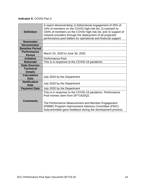## **Indicator 6**: COVID Part 2

| <b>Definition</b>                   | A report demonstrating 1) bidirectional engagement of 25% of<br>10% of members on the COVID high-risk list; 2) outreach to<br>100% of members on the COVID high-risk list; and 3) support of<br>network providers through the deployment of all projected<br>performance pool dollars for operational and financial support |
|-------------------------------------|-----------------------------------------------------------------------------------------------------------------------------------------------------------------------------------------------------------------------------------------------------------------------------------------------------------------------------|
| <b>Numerator</b>                    |                                                                                                                                                                                                                                                                                                                             |
| <b>Denominator</b>                  |                                                                                                                                                                                                                                                                                                                             |
| <b>Baseline Period</b>              |                                                                                                                                                                                                                                                                                                                             |
| <b>Performance</b><br><b>Period</b> | March 25, 2020 to June 30, 2020                                                                                                                                                                                                                                                                                             |
| <b>Initiative</b>                   | <b>Performance Pool</b>                                                                                                                                                                                                                                                                                                     |
| <b>Rationale</b>                    | This is in response to the COVID-19 pandemic.                                                                                                                                                                                                                                                                               |
| <b>Data Sources</b>                 |                                                                                                                                                                                                                                                                                                                             |
| <b>Technical</b><br><b>Details</b>  |                                                                                                                                                                                                                                                                                                                             |
| <b>Calculation</b><br>Date          | July 2020 by the Department                                                                                                                                                                                                                                                                                                 |
| <b>Notification</b><br>Date         | July 2020 by the Department                                                                                                                                                                                                                                                                                                 |
| <b>Payment Date</b>                 | July 2020 by the Department                                                                                                                                                                                                                                                                                                 |
|                                     | This is in response to the COVID-19 pandemic. Performance<br>Pool monies stem from SFY1920Q2.                                                                                                                                                                                                                               |
| <b>Comments</b>                     | The Performance Measurement and Member Engagement<br>(PMME) Program Improvement Advisory Committee (PIAC)<br>Subcommittee gave feedback during the development process.                                                                                                                                                     |